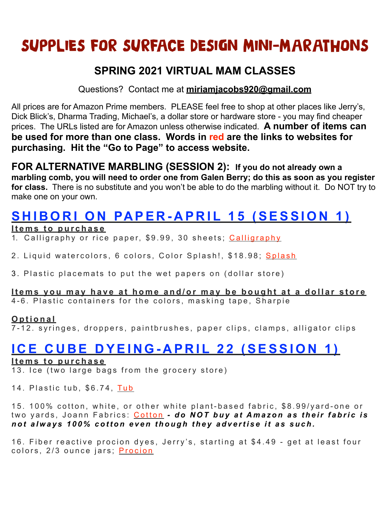# SUPPLIES FOR SURFACE DESIGN MINI-MARATHONS

### **SPRING 2021 VIRTUAL MAM CLASSES**

Questions? Contact me at **[miriamjacobs920@gmail.com](mailto:miriamjacobs920@gmail.com)**

All prices are for Amazon Prime members. PLEASE feel free to shop at other places like Jerry's, Dick Blick's, Dharma Trading, Michael's, a dollar store or hardware store - you may find cheaper prices. The URLs listed are for Amazon unless otherwise indicated. **A number of items can be used for more than one class. Words in red are the links to websites for purchasing. Hit the "Go to Page" to access website.**

**FOR ALTERNATIVE MARBLING (SESSION 2): If you do not already own a marbling comb, you will need to order one from Galen Berry; do this as soon as you register for class.** There is no substitute and you won't be able to do the marbling without it. Do NOT try to make one on your own.

# **SHIBORI ON PAPER-APRIL 15 (SESSION 1)**

#### **Items to purchase**

1. [Calligraphy](https://www.amazon.com/Teagas-Chinese-Calligraphy-Brush-Writing/dp/B01CXW7O6A/ref=sr_1_5?dchild=1&keywords=Teagas+Chinese+Calligraphy&qid=1614047724&sr=8-5) or rice paper, \$9.99, 30 sheets, Calligraphy

2. Liquid watercolors, 6 colors, Color [Splash](https://www.amazon.com/Worldwide-PT3265-Splash-Liquid-Watercolor/dp/B005KFTW40/ref=sr_1_8?crid=Q57SO5AD5ZQU&dchild=1&keywords=colorations+liquid+watercolors&qid=1614047925&sprefix=Colorations,aps,171&sr=8-8)!, \$18.98; Splash

3 . Plastic placemats to put the wet papers on (dollar store)

### **Items you may have at home and/or may be bought at a dollar store**

4-6. Plastic containers for the colors, masking tape, Sharpie

#### **Optional**

7-12. syringes, droppers, paintbrushes, paper clips, clamps, alligator clips

### **ICE CUBE DYEING-APRIL 22 (SESSION 1)**

#### **Items to purchase**

13. Ice (two large bags from the grocery store)

14. Plastic tub, \$6.74, [Tub](https://www.amazon.com/Medline-Rectangular-Plastic-Basins-Graphite/dp/B00A2G5TOO/ref=sr_1_1?dchild=1&keywords=plastic+tub&qid=1614048302&sr=8-1)

15. 100% cotton, white, or other white plant-based fabric, \$8.99/yard-one or two yards, Joann Fabrics: [Cotton](https://www.joann.com/kona-cotton-solid-quilt-fabric/prd57239.html?dwvar_prd57239_variationAttribute=1378454) *- do NOT buy at Amazon as their fabric is not always 100% cotton even though they advertise it as such.* 

16. Fiber reactive procion dyes, Jerry's, starting at \$4.49 - get at least four colors, 2/3 ounce jars; [Procion](https://www.jerrysartistoutlet.com/new_store/index.php?main_page=advanced_search_result&search_in_description=1&keyword=procion+dyes)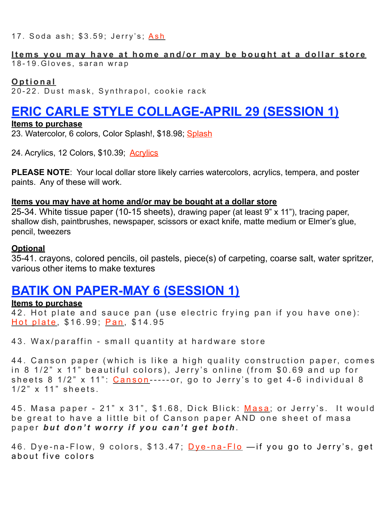17. Soda ash; \$3.59; Jerry's; [Ash](https://www.jerrysartistoutlet.com/new_store/index.php?main_page=product_info&cPath=100318_100326_101672&products_id=131541)

### **Items you may have at home and/or may be bought at a dollar store**

18-19. Gloves, saran wrap

#### **Optional**

20-22. Dust mask, Synthrapol, cookie rack

## **ERIC CARLE STYLE COLLAGE-APRIL 29 (SESSION 1)**

#### **Items to purchase**

23. Watercolor, 6 colors, Color [Splash](https://www.amazon.com/Worldwide-PT3265-Splash-Liquid-Watercolor/dp/B005KFTW40/ref=sr_1_8?crid=Q57SO5AD5ZQU&dchild=1&keywords=colorations+liquid+watercolors&qid=1614047925&sprefix=Colorations,aps,171&sr=8-8)!, \$18.98; Splash

24. [Acrylics](https://www.amazon.com/FIXSMITH-Acrylic-Paint-Set-Painting/dp/B08K766D2S/ref=sr_1_9?dchild=1&keywords=acrylics+paint&qid=1614049119&sr=8-9), 12 Colors, \$10.39; Acrylics

**PLEASE NOTE**: Your local dollar store likely carries watercolors, acrylics, tempera, and poster paints. Any of these will work.

#### **Items you may have at home and/or may be bought at a dollar store**

25-34. White tissue paper (10-15 sheets), drawing paper (at least 9" x 11"), tracing paper, shallow dish, paintbrushes, newspaper, scissors or exact knife, matte medium or Elmer's glue, pencil, tweezers

#### **Optional**

35-41. crayons, colored pencils, oil pastels, piece(s) of carpeting, coarse salt, water spritzer, various other items to make textures

### **BATIK ON PAPER-MAY 6 (SESSION 1)**

#### **Items to purchase**

42. Hot plate and sauce pan ( use electric frying pan if you have one): [Hot plate](https://www.amazon.com/Elite-Cuisine-ESB-301BF-Electric-Indicator/dp/B00C8C5I7I/ref=sr_1_3?dchild=1&keywords=hot+plate&qid=1614049752&sr=8-3), \$16.99; [Pan](https://www.amazon.com/Utopia-Kitchen-Quart-Nonstick-Saucepan/dp/B06Y5KZCB2/ref=sr_1_2_sspa?dchild=1&keywords=saucepan&qid=1614549990&sr=8-2-spons&psc=1&spLa=ZW5jcnlwdGVkUXVhbGlmaWVyPUEyMzlFREdQWE9QWUs0JmVuY3J5cHRlZElkPUEwODA0MzY2STdKR0hFV0VUSDJDJmVuY3J5cHRlZEFkSWQ9QTA0MzA0NzczSk9IMjNINlhKSTdIJndpZGdldE5hbWU9c3BfYXRmJmFjdGlvbj1jbGlja1JlZGlyZWN0JmRvTm90TG9nQ2xpY2s9dHJ1ZQ==), \$14.95

43. Wax /paraffin - small quantity at hardware store

44. Canson paper (which is like a high quality construction paper, comes in 8 1/2" x 11" beautiful colors), Jerry's online (from \$0.69 and up for sheets  $8 \frac{1}{2}$  x  $11$ ": [Canson](https://www.jerrysartistoutlet.com/new_store/index.php?main_page=index&cPath=100342_100376_100723)-----or, go to Jerry's to get 4-6 individual 8 1/2" x 11" sheets.

45. [Masa](https://www.dickblick.com/search/?q=masa) paper - 21" x 31", \$1.68, Dick Blick: Masa; or Jerry's. It would be great to have a little bit of Canson paper AND one sheet of masa paper *but don't worry if you can't get both* .

46. [Dye-na-Flo](https://www.amazon.com/Jacquard-JAC9908-Dye-Na-Flow-Exciter-9-Colors/dp/B0006IKE70/ref=sr_1_1?crid=3KD75AR9V85FL&dchild=1&keywords=dye-na-flow&qid=1614208797&sprefix=dye-na,aps,151&sr=8-1)w, 9 colors, \$13.47; Dye-na-Flo - if you go to Jerry's, get about five colors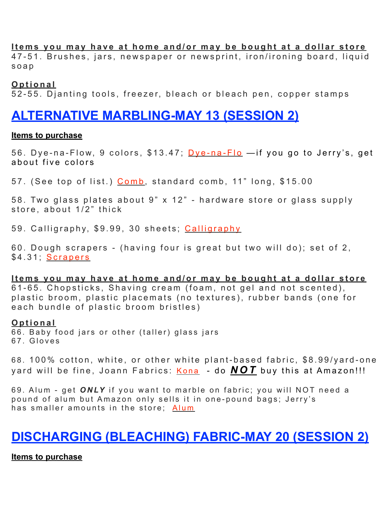#### **Items you may have at home and/or may be bought at a dollar store**

47-51. Brushes, jars, newspaper or newsprint, iron/ironing board, liquid soap

**Optional** 

52-55. Djanting tools , freezer, bleach or bleach pen, copper stamps

### **ALTERNATIVE MARBLING-MAY 13 (SESSION 2)**

#### **Items to purchase**

56. [Dye-na-Flo](https://www.amazon.com/Jacquard-JAC9908-Dye-Na-Flow-Exciter-9-Colors/dp/B0006IKE70/ref=sr_1_1?crid=3KD75AR9V85FL&dchild=1&keywords=dye-na-flow&qid=1614208797&sprefix=dye-na,aps,151&sr=8-1)w, 9 colors, \$13.47; Dye-na-Flo —if you go to Jerry's, get about five colors

57. (See top of list.) [Comb](http://marbleart.us/MarblingSupplies.htm), standard comb, 11" long, \$15.00

58. Two glass plates about 9" x 12" - hardware store or glass supply store, about 1/2" thick

59. Calligraphy, \$9.99, 30 sheets; [Calligraphy](https://www.amazon.com/Teagas-Chinese-Calligraphy-Brush-Writing/dp/B01CXW7O6A/ref=sr_1_5?dchild=1&keywords=Teagas+Chinese+Calligraphy&qid=1614047724&sr=8-5)

60. Dough scrapers - (having four is great but two will do); set of 2, \$4.31; [Scrapers](https://www.amazon.com/Ateco-1303-Bowl-Scraper-Set/dp/B00NH46Y8I/ref=sr_1_2?dchild=1&keywords=Ateco+1303,+Bowl+Scraper+Set+of+2&qid=1614209326&sr=8-2)

**Items you may have at home and/or may be bought at a dollar store** 61-65. Chopsticks, Shaving cream (foam, not gel and not scented), plastic broom, plastic placemats (no textures), rubber bands (one for each bundle of plastic broom bristles)

#### **Optional**

66. Baby food jars or other (taller) glass jars 67. Gloves

68. 100% cotton, white, or other white plant-based fabric, \$8.99/yard-one yard will be fine, Joann Fabrics: [Kona](https://www.joann.com/kona-cotton-solid-quilt-fabric/prd57239.html?dwvar_prd57239_variationAttribute=1378454) - do **NOT** buy this at Amazon!!!

69. Alum - get *ONLY* if you want to marble on fabric; you will NOT need a pound of alum but Amazon only sells it in one-pound bags; Jerry's has smaller amounts in the store; [Alum](https://www.amazon.com/Jacquard-Products-Alum-1-Pound-CHM1006/dp/B0009IN1FY/ref=sr_1_8?dchild=1&keywords=alum&qid=1614209508&sr=8-8)

# **DISCHARGING (BLEACHING) FABRIC-MAY 20 (SESSION 2)**

#### **Items to purchase**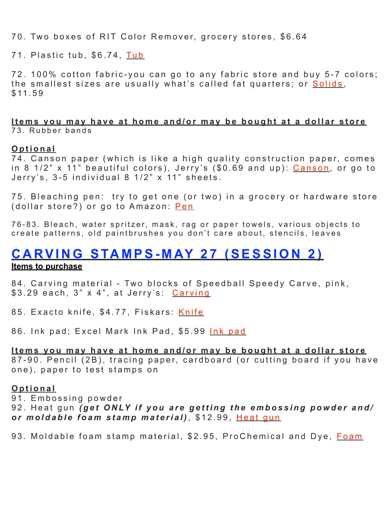70. Two boxes of RIT Color Remover, grocery stores, \$6.64

71. Plastic tub, \$6.74, [Tub](https://www.amazon.com/Medline-Rectangular-Plastic-Basins-Graphite/dp/B00A2G5TOO/ref=sr_1_1?dchild=1&keywords=plastic+tub&qid=1614048302&sr=8-1)

72. 100% cotton fabric-you can go to any fabric store and buy 5-7 colors; the smallest sizes are usually what's called fat quarters; or [Solids](https://www.amazon.com/Gnognauq-Quilting-Patchwork-Squares-Scrapbooking/dp/B088FKJVWT/ref=sr_1_1?dchild=1&keywords=Gnognauq+17pcs+Plain+Solid+Color+Cotton+Quilting+Fabric+Patchwork+Bundle+Fat+Squares+for+DIY+Craft+Sewing+Scrapbooking,+11.8+x+11.8+inches&qid=1614210492&sr=8-1), \$11.59

#### **Items you may have at home and/or may be bought at a dollar store** 73. Rubber bands

#### **Optional**

74. Canson paper (which is like a high quality construction paper, comes in 8  $1/2$ " x 11" beautiful colors), Jerry's  $(\$0.69$  and up): [Canson](https://www.jerrysartistoutlet.com/new_store/index.php?main_page=index&cPath=100342_100376_100723), or go to Jerry's, 3-5 individual 8 1/2" x 11" sheets.

75. Bleaching pen: try to get one (or two) in a grocery or hardware store (dollar store?) or go to Amazon: [Pen](https://www.amazon.com/Clorox-Bleach-Pen-Whites-Pack/dp/B0009PCP0O/ref=sr_1_5?dchild=1&keywords=bleaching+pen&qid=1614210189&sr=8-5)

76-83. Bleach, water spritzer, mask, rag or paper towels, various objects to create patterns, old paintbrushes you don't care about, stencils, leaves

### **CARVING STAMPS-MAY 27 (SESSION 2) Items to purchase**

84. Carving material - Two blocks of Speedball Speedy Carve, pink, \$3.29 each, 3" x 4", at Jerry's: [Carving](https://www.jerrysartistoutlet.com/new_store/index.php?main_page=product_info&cPath=100406_100407_101712&products_id=132307)

85. Exacto knife, \$4.77, Fiskars: <mark>[Knife](http://www.apple.com)</mark>

86. [Ink pad](https://www.amazon.com/2000-PLUS-Stamp-Black-090407/dp/B007OWNXTW/ref=sr_1_20?dchild=1&keywords=Excel+Mark+Ink+Pad&qid=1614217165&sr=8-20); Excel Mark Ink Pad, \$5.99 Ink pad

#### **Items you may have at home and/or may be bought at a dollar store** 87-90. Pencil (2B), tracing paper, cardboard (or cutting board if you have one), paper to test stamps on

#### **Optional**

91. Embossing powder

92. Heat gun *(get ONLY if you are getting the embossing powder and/ or moldable foam stamp material)* , \$12.99, [Heat gun](https://www.amazon.com/mofa-Embossing-Multi-Purpose-Electric-Heating/dp/B07FSXJ1GT/ref=sr_1_9?dchild=1&keywords=heat+gun+for+crafts&qid=1614217327&sr=8-9)

93. Moldable foam stamp material, \$2.95, ProChemical and Dye, [Foam](http://www.apple.com)